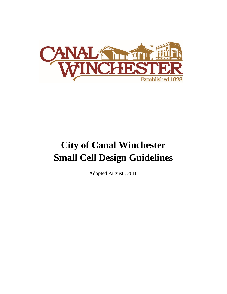

# **City of Canal Winchester Small Cell Design Guidelines**

Adopted August , 2018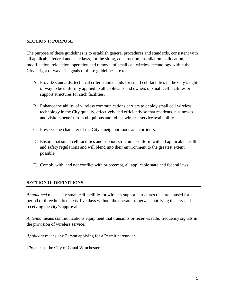#### **SECTION I: PURPOSE**

The purpose of these guidelines is to establish general procedures and standards, consistent with all applicable federal and state laws, for the siting, construction, installation, collocation, modification, relocation, operation and removal of small cell wireless technology within the City's right of way. The goals of these guidelines are to:

- A. Provide standards, technical criteria and details for small cell facilities in the City'sright of way to be uniformly applied to all applicants and owners of small cell facilities or support structures for such facilities.
- B. Enhance the ability of wireless communications carriers to deploy small cell wireless technology in the City quickly, effectively and efficiently so that residents, businesses and visitors benefit from ubiquitous and robust wireless service availability.
- C. Preserve the character of the City's neighborhoods and corridors.
- D. Ensure that small cell facilities and support structures conform with all applicable health and safety regulations and will blend into their environment to the greatest extent possible.
- E. Comply with, and not conflict with or preempt, all applicable state and federal laws.

#### **SECTION II: DEFINITIONS**

*Abandoned* means any small cell facilities or wireless support structures that are unused for a period of three hundred sixty-five days without the operator otherwise notifying the city and receiving the city's approval.

*Antenna* means communications equipment that transmits or receives radio frequency signals in the provision of wireless service.

*Applicant* means any Person applying for a Permit hereunder.

*City* means the City of Canal Winchester.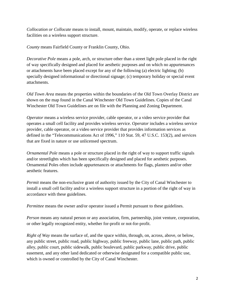*Collocation or Collocate* means to install, mount, maintain, modify, operate, or replace wireless facilities on a wireless support structure.

*County* means Fairfield County or Franklin County, Ohio.

*Decorative Pole* means a pole, arch, or structure other than a street light pole placed in the right of way specifically designed and placed for aesthetic purposes and on which no appurtenances or attachments have been placed except for any of the following (a) electric lighting; (b) specially designed informational or directional signage; (c) temporary holiday or special event attachments.

*Old Town Area* means the properties within the boundaries of the Old Town Overlay District are shown on the map found in the Canal Winchester Old Town Guidelines. Copies of the Canal Winchester Old Town Guidelines are on file with the Planning and Zoning Department.

*Operator* means a wireless service provider, cable operator, or a video service provider that operates a small cell facility and provides wireless service. *Operator* includes a wireless service provider, cable operator, or a video service provider that provides information services as defined in the "Telecommunications Act of 1996," 110 Stat. 59, 47 U.S.C. 153(2), and services that are fixed in nature or use unlicensed spectrum.

*Ornamental Pole* means a pole or structure placed in the right of way to support traffic signals and/or streetlights which has been specifically designed and placed for aesthetic purposes. Ornamental Poles often include appurtenances or attachments for flags, planters and/or other aesthetic features.

*Permit* means the non-exclusive grant of authority issued by the City of Canal Winchester to install a small cell facility and/or a wireless support structure in a portion of the right of way in accordance with these guidelines.

*Permittee* means the owner and/or operator issued a Permit pursuant to these guidelines.

*Person* means any natural person or any association, firm, partnership, joint venture, corporation, or other legally recognized entity, whether for-profit or not-for-profit.

*Right of Way* means the surface of, and the space within, through, on, across, above, or below, any public street, public road, public highway, public freeway, public lane, public path, public alley, public court, public sidewalk, public boulevard, public parkway, public drive, public easement, and any other land dedicated or otherwise designated for a compatible public use, which is owned or controlled by the City of Canal Winchester.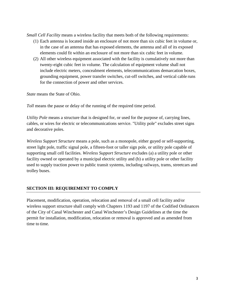*Small Cell Facility* means a wireless facility that meets both of the following requirements:

- (1) Each antenna is located inside an enclosure of not more than six cubic feet in volume or, in the case of an antenna that has exposed elements, the antenna and all of its exposed elements could fit within an enclosure of not more than six cubic feet in volume.
- (2) All other wireless equipment associated with the facility is cumulatively not more than twenty-eight cubic feet in volume. The calculation of equipment volume shall not include electric meters, concealment elements, telecommunications demarcation boxes, grounding equipment, power transfer switches, cut-off switches, and vertical cable runs for the connection of power and other services.

*State* means the State of Ohio.

*Toll* means the pause or delay of the running of the required time period.

*Utility Pole* means a structure that is designed for, or used for the purpose of, carrying lines, cables, or wires for electric or telecommunications service. "Utility pole" excludes street signs and decorative poles.

*Wireless Support Structure* means a pole, such as a monopole, either guyed or self-supporting, street light pole, traffic signal pole, a fifteen-foot or taller sign pole, or utility pole capable of supporting small cell facilities. *Wireless Support Structure* excludes (a) a utility pole or other facility owned or operated by a municipal electric utility and (b) a utility pole or other facility used to supply traction power to public transit systems, including railways, trams, streetcars and trolley buses.

# **SECTION III: REQUIREMENT TO COMPLY**

Placement, modification, operation, relocation and removal of a small cell facility and/or wireless support structure shall comply with Chapters 1193 and 1197 of the Codified Ordinances of the City of Canal Winchester and Canal Winchester's Design Guidelines at the time the permit for installation, modification, relocation or removal is approved and as amended from time to time.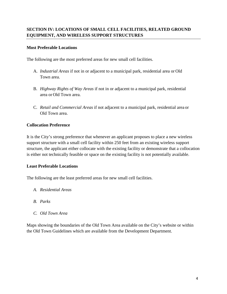# **Most Preferable Locations**

The following are the most preferred areas for new small cell facilities.

- A. *Industrial Areas* if not in or adjacent to a municipal park, residential area or Old Town area.
- B. *Highway Rights of Way Areas* if not in or adjacent to a municipal park, residential area or Old Town area.
- C. *Retail and Commercial Areas* if not adjacent to a municipal park, residential area or Old Town area.

# **Collocation Preference**

It is the City's strong preference that whenever an applicant proposes to place a new wireless support structure with a small cell facility within 250 feet from an existing wireless support structure, the applicant either collocate with the existing facility or demonstrate that a collocation is either not technically feasible or space on the existing facility is not potentially available.

# **Least Preferable Locations**

The following are the least preferred areas for new small cell facilities.

- *A. Residential Areas*
- *B. Parks*
- *C. Old Town Area*

Maps showing the boundaries of the Old Town Area available on the City's website or within the Old Town Guidelines which are available from the Development Department.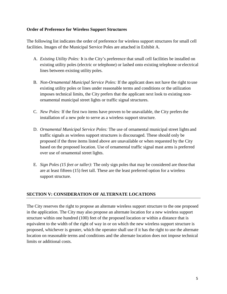#### **Order of Preference for Wireless Support Structures**

The following list indicates the order of preference for wireless support structures for small cell facilities. Images of the Municipal Service Poles are attached in Exhibit A.

- A. *Existing Utility Poles:* It is the City's preference that small cell facilities be installed on existing utility poles (electric or telephone) or lashed onto existing telephone or electrical lines between existing utility poles.
- B. *Non-Ornamental Municipal Service Poles:* If the applicant does not have the right to use existing utility poles or lines under reasonable terms and conditions or the utilization imposes technical limits, the City prefers that the applicant next look to existing nonornamental municipal street lights or traffic signal structures.
- C. *New Poles:* If the first two items have proven to be unavailable, the City prefersthe installation of a new pole to serve as a wireless support structure.
- D. *Ornamental Municipal Service Poles:* The use of ornamental municipal street lights and traffic signals as wireless support structures is discouraged. These should only be proposed if the three items listed above are unavailable or when requested by the City based on the proposed location. Use of ornamental traffic signal mast arms is preferred over use of ornamental street lights.
- E. *Sign Poles (15 feet or taller):* The only sign poles that may be considered are those that are at least fifteen (15) feet tall. These are the least preferred option for a wireless support structure.

# **SECTION V: CONSIDERATION OF ALTERNATE LOCATIONS**

The City reserves the right to propose an alternate wireless support structure to the one proposed in the application. The City may also propose an alternate location for a new wireless support structure within one hundred (100) feet of the proposed location or within a distance that is equivalent to the width of the right of way in or on which the new wireless support structure is proposed, whichever is greater, which the operator shall use if it has the right to use the alternate location on reasonable terms and conditions and the alternate location does not impose technical limits or additional costs.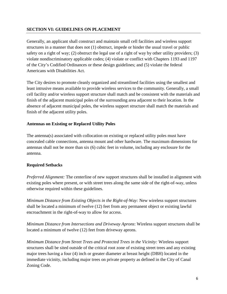# **SECTION VI: GUIDELINES ON PLACEMENT**

Generally, an applicant shall construct and maintain small cell facilities and wireless support structures in a manner that does not (1) obstruct, impede or hinder the usual travel or public safety on a right of way; (2) obstruct the legal use of a right of way by other utility providers; (3) violate nondiscriminatory applicable codes; (4) violate or conflict with Chapters 1193 and 1197 of the City's Codified Ordinances or these design guidelines; and (5) violate the federal Americans with Disabilities Act.

The City desires to promote cleanly organized and streamlined facilities using the smallest and least intrusive means available to provide wireless services to the community. Generally, a small cell facility and/or wireless support structure shall match and be consistent with the materials and finish of the adjacent municipal poles of the surrounding area adjacent to their location. In the absence of adjacent municipal poles, the wireless support structure shall match the materials and finish of the adjacent utility poles.

# **Antennas on Existing or Replaced Utility Poles**

The antenna(s) associated with collocation on existing or replaced utility poles must have concealed cable connections, antenna mount and other hardware. The maximum dimensions for antennas shall not be more than six (6) cubic feet in volume, including any enclosure for the antenna.

#### **Required Setbacks**

*Preferred Alignment:* The centerline of new support structures shall be installed in alignment with existing poles where present, or with street trees along the same side of the right-of-way, unless otherwise required within these guidelines.

*Minimum Distance from Existing Objects in the Right-of-Way:* New wireless support structures shall be located a minimum of twelve (12) feet from any permanent object or existing lawful encroachment in the right-of-way to allow for access.

*Minimum Distance from Intersections and Driveway Aprons*: Wireless support structures shall be located a minimum of twelve (12) feet from driveway aprons.

*Minimum Distance from Street Trees and Protected Trees in the Vicinity:* Wireless support structures shall be sited outside of the critical root zone of existing street trees and any existing major trees having a four (4) inch or greater diameter at breast height (DBH) located in the immediate vicinity, including major trees on private property as defined in the City of Canal Zoning Code.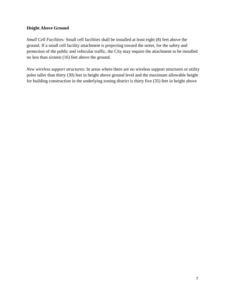# **Height Above Ground**

*Small Cell Facilities:* Small cell facilities shall be installed at least eight (8) feet above the ground. If a small cell facility attachment is projecting toward the street, for the safety and protection of the public and vehicular traffic, the City may require the attachment to be installed no less than sixteen (16) feet above the ground.

*New wireless support structures:* In areas where there are no wireless support structures or utility poles taller than thirty (30) feet in height above ground level and the maximum allowable height for building construction in the underlying zoning district is thirty five (35) feet in height above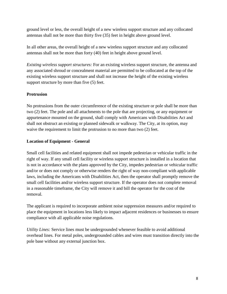ground level or less, the overall height of a new wireless support structure and any collocated antennas shall not be more than thirty five (35) feet in height above ground level.

In all other areas, the overall height of a new wireless support structure and any collocated antennas shall not be more than forty (40) feet in height above ground level.

*Existing wireless support structures:* For an existing wireless support structure, the antenna and any associated shroud or concealment material are permitted to be collocated at the top of the existing wireless support structure and shall not increase the height of the existing wireless support structure by more than five (5) feet.

# **Protrusion**

No protrusions from the outer circumference of the existing structure or pole shall be more than two (2) feet. The pole and all attachments to the pole that are projecting, or any equipment or appurtenance mounted on the ground, shall comply with Americans with Disabilities Act and shall not obstruct an existing or planned sidewalk or walkway. The City, at its option, may waive the requirement to limit the protrusion to no more than two (2) feet.

# **Location of Equipment - General**

Small cell facilities and related equipment shall not impede pedestrian or vehicular traffic in the right of way. If any small cell facility or wireless support structure is installed in a location that is not in accordance with the plans approved by the City, impedes pedestrian or vehicular traffic and/or or does not comply or otherwise renders the right of way non-compliant with applicable laws, including the Americans with Disabilities Act, then the operator shall promptly remove the small cell facilities and/or wireless support structure. If the operator does not complete removal in a reasonable timeframe, the City will remove it and bill the operator for the cost of the removal.

The applicant is required to incorporate ambient noise suppression measures and/or required to place the equipment in locations less likely to impact adjacent residences or businesses to ensure compliance with all applicable noise regulations.

*Utility Lines:* Service lines must be undergrounded whenever feasible to avoid additional overhead lines. For metal poles, undergrounded cables and wires must transition directly into the pole base without any external junction box.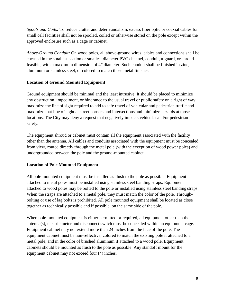*Spools and Coils:* To reduce clutter and deter vandalism, excess fiber optic or coaxial cables for small cell facilities shall not be spooled, coiled or otherwise stored on the pole except within the approved enclosure such as a cage or cabinet.

*Above-Ground Conduit:* On wood poles, all above-ground wires, cables and connections shall be encased in the smallest section or smallest diameter PVC channel, conduit, u-guard, or shroud feasible, with a maximum dimension of 4" diameter. Such conduit shall be finished in zinc, aluminum or stainless steel, or colored to match those metal finishes.

# **Location of Ground Mounted Equipment**

Ground equipment should be minimal and the least intrusive. It should be placed to minimize any obstruction, impediment, or hindrance to the usual travel or public safety on a right of way, maximize the line of sight required to add to safe travel of vehicular and pedestrian traffic and maximize that line of sight at street corners and intersections and minimize hazards at those locations. The City may deny a request that negatively impacts vehicular and/or pedestrian safety.

The equipment shroud or cabinet must contain all the equipment associated with the facility other than the antenna. All cables and conduits associated with the equipment must be concealed from view, routed directly through the metal pole (with the exception of wood power poles) and undergrounded between the pole and the ground-mounted cabinet.

# **Location of Pole Mounted Equipment**

All pole-mounted equipment must be installed as flush to the pole as possible. Equipment attached to metal poles must be installed using stainless steel banding straps. Equipment attached to wood poles may be bolted to the pole or installed using stainless steel banding straps. When the straps are attached to a metal pole, they must match the color of the pole. Throughbolting or use of lag bolts is prohibited. All pole mounted equipment shall be located as close together as technically possible and if possible, on the same side of the pole.

When pole-mounted equipment is either permitted or required, all equipment other than the antenna(s), electric meter and disconnect switch must be concealed within an equipment cage. Equipment cabinet may not extend more than 24 inches from the face of the pole. The equipment cabinet must be non-reflective, colored to match the existing pole if attached to a metal pole, and in the color of brushed aluminum if attached to a wood pole. Equipment cabinets should be mounted as flush to the pole as possible. Any standoff mount for the equipment cabinet may not exceed four (4) inches.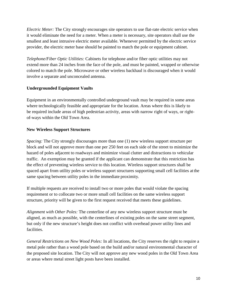*Electric Meter:* The City strongly encourages site operators to use flat-rate electric service when it would eliminate the need for a meter. When a meter is necessary, site operators shall use the smallest and least intrusive electric meter available. Whenever permitted by the electric service provider, the electric meter base should be painted to match the pole or equipment cabinet.

*Telephone/Fiber Optic Utilities:* Cabinets for telephone and/or fiber optic utilities may not extend more than 24 inches from the face of the pole, and must be painted, wrapped or otherwise colored to match the pole. Microwave or other wireless backhaul is discouraged when it would involve a separate and unconcealed antenna.

# **Undergrounded Equipment Vaults**

Equipment in an environmentally controlled underground vault may be required in some areas where technologically feasible and appropriate for the location. Areas where this is likely to be required include areas of high pedestrian activity, areas with narrow right of ways, or rightof-ways within the Old Town Area.

#### **New Wireless Support Structures**

*Spacing:* The City strongly discourages more than one (1) new wireless support structure per block and will not approve more than one per 250 feet on each side of the street to minimize the hazard of poles adjacent to roadways and minimize visual clutter and distractions to vehicular traffic. An exemption may be granted if the applicant can demonstrate that this restriction has the effect of preventing wireless service to this location. Wireless support structures shall be spaced apart from utility poles or wireless support structures supporting small cell facilities at the same spacing between utility poles in the immediate proximity.

If multiple requests are received to install two or more poles that would violate the spacing requirement or to collocate two or more small cell facilities on the same wireless support structure, priority will be given to the first request received that meets these guidelines.

*Alignment with Other Poles:* The centerline of any new wireless support structure must be aligned, as much as possible, with the centerlines of existing poles on the same street segment, but only if the new structure's height does not conflict with overhead power utility lines and facilities.

*General Restrictions on New Wood Poles:* In all locations, the City reserves the right to require a metal pole rather than a wood pole based on the build and/or natural environmental character of the proposed site location. The City will not approve any new wood poles in the Old Town Area or areas where metal street light posts have been installed.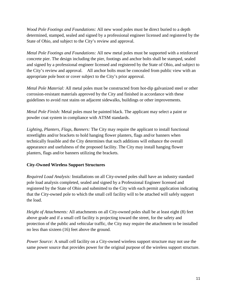*Wood Pole Footings and Foundations:* All new wood poles must be direct buried to a depth determined, stamped, sealed and signed by a professional engineer licensed and registered by the State of Ohio, and subject to the City's review and approval.

*Metal Pole Footings and Foundations:* All new metal poles must be supported with a reinforced concrete pier. The design including the pier, footings and anchor bolts shall be stamped, sealed and signed by a professional engineer licensed and registered by the State of Ohio, and subject to the City's review and approval. All anchor bolts must be concealed from public view with an appropriate pole boot or cover subject to the City's prior approval.

*Metal Pole Material:* All metal poles must be constructed from hot-dip galvanized steel or other corrosion-resistant materials approved by the City and finished in accordance with these guidelines to avoid rust stains on adjacent sidewalks, buildings or other improvements.

*Metal Pole Finish:* Metal poles must be painted black. The applicant may select a paint or powder coat system in compliance with ATSM standards.

*Lighting, Planters, Flags, Banners:* The City may require the applicant to install functional streetlights and/or brackets to hold hanging flower planters, flags and/or banners when technically feasible and the City determines that such additions will enhance the overall appearance and usefulness of the proposed facility. The City may install hanging flower planters, flags and/or banners utilizing the brackets.

# **City-Owned Wireless Support Structures**

*Required Load Analysis:* Installations on all City-owned poles shall have an industry standard pole load analysis completed, sealed and signed by a Professional Engineer licensed and registered by the State of Ohio and submitted to the City with each permit application indicating that the City-owned pole to which the small cell facility will to be attached will safely support the load.

*Height of Attachments:* All attachments on all City-owned poles shall be at least eight (8) feet above grade and if a small cell facility is projecting toward the street, for the safety and protection of the public and vehicular traffic, the City may require the attachment to be installed no less than sixteen (16) feet above the ground.

*Power Source:* A small cell facility on a City-owned wireless support structure may not use the same power source that provides power for the original purpose of the wireless support structure.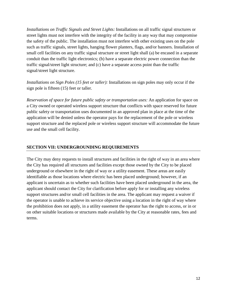*Installations on Traffic Signals and Street Lights:* Installations on all traffic signal structures or street lights must not interfere with the integrity of the facility in any way that may compromise the safety of the public. The installation must not interfere with other existing uses on the pole such as traffic signals, street lights, hanging flower planters, flags, and/or banners. Installation of small cell facilities on any traffic signal structure or street light shall (a) be encased in a separate conduit than the traffic light electronics; (b) have a separate electric power connection than the traffic signal/street light structure; and (c) have a separate access point than the traffic signal/street light structure.

*Installations on Sign Poles (15 feet or taller):* Installations on sign poles may only occur if the sign pole is fifteen (15) feet or taller.

*Reservation of space for future public safety or transportation uses:* An application for space on a City owned or operated wireless support structure that conflicts with space reserved for future public safety or transportation uses documented in an approved plan in place at the time of the application will be denied unless the operator pays for the replacement of the pole or wireless support structure and the replaced pole or wireless support structure will accommodate the future use and the small cell facility.

### **SECTION VII: UNDERGROUNDING REQUIREMENTS**

The City may deny requests to install structures and facilities in the right of way in an area where the City has required all structures and facilities except those owned by the City to be placed underground or elsewhere in the right of way or a utility easement. These areas are easily identifiable as those locations where electric has been placed underground; however, if an applicant is uncertain as to whether such facilities have been placed underground in the area, the applicant should contact the City for clarification before apply for or installing any wireless support structures and/or small cell facilities in the area. The applicant may request a waiver if the operator is unable to achieve its service objective using a location in the right of way where the prohibition does not apply, in a utility easement the operator has the right to access, or in or on other suitable locations or structures made available by the City at reasonable rates, fees and terms.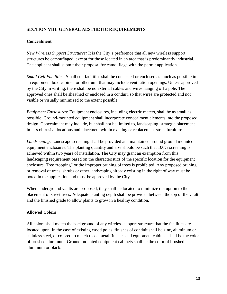### **Concealment**

*New Wireless Support Structures:* It is the City's preference that all new wireless support structures be camouflaged, except for those located in an area that is predominantly industrial. The applicant shall submit their proposal for camouflage with the permit application.

*Small Cell Facilities:* Small cell facilities shall be concealed or enclosed as much as possible in an equipment box, cabinet, or other unit that may include ventilation openings. Unless approved by the City in writing, there shall be no external cables and wires hanging off a pole. The approved ones shall be sheathed or enclosed in a conduit, so that wires are protected and not visible or visually minimized to the extent possible.

*Equipment Enclosures:* Equipment enclosures, including electric meters, shall be as small as possible. Ground-mounted equipment shall incorporate concealment elements into the proposed design. Concealment may include, but shall not be limited to, landscaping, strategic placement in less obtrusive locations and placement within existing or replacement street furniture.

*Landscaping:* Landscape screening shall be provided and maintained around ground mounted equipment enclosures. The planting quantity and size should be such that 100% screening is achieved within two years of installation. The City may grant an exemption from this landscaping requirement based on the characteristics of the specific location for the equipment enclosure. Tree "topping" or the improper pruning of trees is prohibited. Any proposed pruning or removal of trees, shrubs or other landscaping already existing in the right of way must be noted in the application and must be approved by the City.

When underground vaults are proposed, they shall be located to minimize disruption to the placement of street trees. Adequate planting depth shall be provided between the top of the vault and the finished grade to allow plants to grow in a healthy condition.

# **Allowed Colors**

All colors shall match the background of any wireless support structure that the facilities are located upon. In the case of existing wood poles, finishes of conduit shall be zinc, aluminum or stainless steel, or colored to match those metal finishes and equipment cabinets shall be the color of brushed aluminum. Ground mounted equipment cabinets shall be the color of brushed aluminum or black.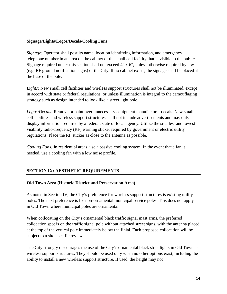#### **Signage/Lights/Logos/Decals/Cooling Fans**

*Signage:* Operator shall post its name, location identifying information, and emergency telephone number in an area on the cabinet of the small cell facility that is visible to the public. Signage required under this section shall not exceed 4" x 6", unless otherwise required by law (e.g. RF ground notification signs) or the City. If no cabinet exists, the signage shall be placed at the base of the pole.

Lights: New small cell facilities and wireless support structures shall not be illuminated, except in accord with state or federal regulations, or unless illumination is integral to the camouflaging strategy such as design intended to look like a street light pole.

*Logos/Decals:* Remove or paint over unnecessary equipment manufacturer decals. New small cell facilities and wireless support structures shall not include advertisements and may only display information required by a federal, state or local agency. Utilize the smallest and lowest visibility radio-frequency (RF) warning sticker required by government or electric utility regulations. Place the RF sticker as close to the antenna as possible.

*Cooling Fans:* In residential areas, use a passive cooling system. In the event that a fan is needed, use a cooling fan with a low noise profile.

#### **SECTION IX: AESTHETIC REQUIREMENTS**

#### **Old Town Area (Historic District and Preservation Area)**

As noted in Section IV, the City's preference for wireless support structures is existing utility poles. The next preference is for non-ornamental municipal service poles. This does not apply in Old Town where municipal poles are ornamental.

When collocating on the City's ornamental black traffic signal mast arms, the preferred collocation spot is on the traffic signal pole without attached street signs, with the antenna placed at the top of the vertical pole immediately below the finial. Each proposed collocation will be subject to a site-specific review.

The City strongly discourages the use of the City's ornamental black streetlights in Old Town as wireless support structures. They should be used only when no other options exist, including the ability to install a new wireless support structure. If used, the height may not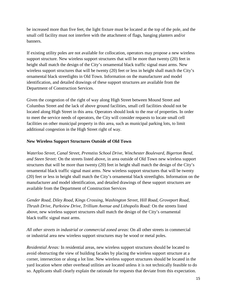be increased more than five feet, the light fixture must be located at the top of the pole, and the small cell facility must not interfere with the attachment of flags, hanging planters and/or banners.

If existing utility poles are not available for collocation, operators may propose a new wireless support structure. New wireless support structures that will be more than twenty (20) feet in height shall match the design of the City's ornamental black traffic signal mast arms. New wireless support structures that will be twenty (20) feet or less in height shall match the City's ornamental black streetlights in Old Town. Information on the manufacturer and model identification, and detailed drawings of these support structures are available from the Department of Construction Services.

Given the congestion of the right of way along High Street between Mound Street and Columbus Street and the lack of above ground facilities, small cell facilities should not be located along High Street in this area. Operators should look to the rear of properties. In order to meet the service needs of operators, the City will consider requests to locate small cell facilities on other municipal property in this area, such as municipal parking lots, to limit additional congestion in the High Street right of way.

#### **New Wireless Support Structures Outside of Old Town**

*Waterloo Street, Canal Street, Prenstiss School Drive, Winchester Boulevard, Bigerton Bend, and Steen Street:* On the streets listed above, in area outside of Old Town new wireless support structures that will be more than twenty (20) feet in height shall match the design of the City's ornamental black traffic signal mast arms. New wireless support structures that will be twenty (20) feet or less in height shall match the City's ornamental black streetlights. Information on the manufacturer and model identification, and detailed drawings of these support structures are available from the Department of Construction Services

*Gender Road, Diley Road, Kings Crossing, Washington Street, Hill Road, Groveport Road, Thrush Drive, Parkview Drive, Trillium Avenue and Lithopolis Road:* On the streets listed above, new wireless support structures shall match the design of the City's ornamental black traffic signal mast arms.

*All other streets in industrial or commercial zoned areas*: On all other streets in commercial or industrial area new wireless support structures may be wood or metal poles.

*Residential Areas:* In residential areas, new wireless support structures should be located to avoid obstructing the view of building facades by placing the wireless support structure at a corner, intersection or along a lot line. New wireless support structures should be located in the yard location where other overhead utilities are located unless it is not technically feasible to do so. Applicants shall clearly explain the rationale for requests that deviate from this expectation.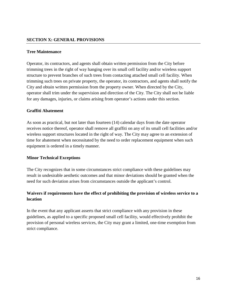#### **SECTION X: GENERAL PROVISIONS**

#### **Tree Maintenance**

Operator, its contractors, and agents shall obtain written permission from the City before trimming trees in the right of way hanging over its small cell facility and/or wireless support structure to prevent branches of such trees from contacting attached small cell facility. When trimming such trees on private property, the operator, its contractors, and agents shall notify the City and obtain written permission from the property owner. When directed by the City, operator shall trim under the supervision and direction of the City. The City shall not be liable for any damages, injuries, or claims arising from operator's actions under this section.

#### **Graffiti Abatement**

As soon as practical, but not later than fourteen (14) calendar days from the date operator receives notice thereof, operator shall remove all graffiti on any of its small cell facilities and/or wireless support structures located in the right of way. The City may agree to an extension of time for abatement when necessitated by the need to order replacement equipment when such equipment is ordered in a timely manner.

#### **Minor Technical Exceptions**

The City recognizes that in some circumstances strict compliance with these guidelines may result in undesirable aesthetic outcomes and that minor deviations should be granted when the need for such deviation arises from circumstances outside the applicant's control.

# **Waivers if requirements have the effect of prohibiting the provision of wireless service to a location**

In the event that any applicant asserts that strict compliance with any provision in these guidelines, as applied to a specific proposed small cell facility, would effectively prohibit the provision of personal wireless services, the City may grant a limited, one-time exemption from strict compliance.